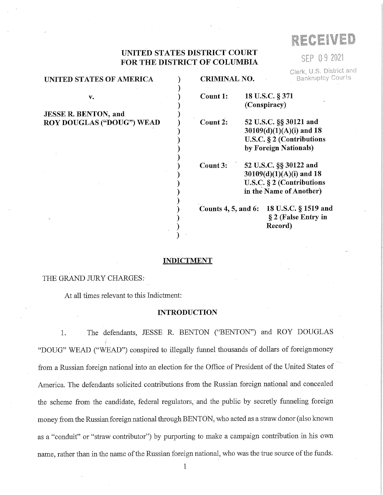# RECEIVED

SEP 0.9 2021

Clerk, U.S. District and

# UNITED STATES DISTRICT COURT FOR THE DISTRICT OF COLUMBIA

| <b>UNITED STATES OF AMERICA</b> | <b>Bankruptcy Courts</b><br><b>CRIMINAL NO.</b>                            |                                                                                                                 |  |
|---------------------------------|----------------------------------------------------------------------------|-----------------------------------------------------------------------------------------------------------------|--|
| v.                              | 18 U.S.C. § 371<br>Count 1:<br>(Conspiracy)                                |                                                                                                                 |  |
| JESSE R. BENTON, and            |                                                                            |                                                                                                                 |  |
| ROY DOUGLAS ("DOUG") WEAD       | Count 2:                                                                   | 52 U.S.C. §§ 30121 and<br>30109(d)(1)(A)(i) and 18<br>U.S.C. § 2 (Contributions<br>by Foreign Nationals)        |  |
|                                 | Count 3:                                                                   | 52 U.S.C. §§ 30122 and<br>$30109(d)(1)(A)(i)$ and 18<br>U.S.C. $\S 2$ (Contributions<br>in the Name of Another) |  |
|                                 | Counts 4, 5, and 6: 18 U.S.C. § 1519 and<br>§ 2 (False Entry in<br>Record) |                                                                                                                 |  |
|                                 |                                                                            |                                                                                                                 |  |

#### INDICTMENT

## THE GRAND JURY CHARGES:

At all times relevant to this Indictment:

#### INTRODUCTION

1. The defendants, JESSE R. BENTON ("BENTON") and ROY DOUGLAS "DOUG" WEAD ("WEAD") conspired to illegally funnel thousands of dollars of foreignmoney from a Russian foreign national into an election for the Office of President of the United States of America. The defendants solicited contributions from the Russian foreign national and concealed the scheme from the candidate, federal regulators, and the public by secretly funneling foreign money from the Russian foreign national through BENTON, who acted as a straw donor (also known as a "conduit" or "straw contributor") by purporting to make a campaign contribution in his own name, rather than in the name of the Russian foreign national, who was the true source of the funds.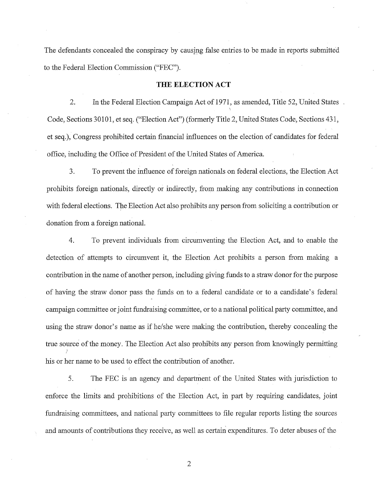The defendants concealed the conspiracy by causing false entries to be made in reports submitted to the Federal Election Commission ("FEC").

#### THE ELECTION ACT

2. In the Federal Election Campaign Act of 1971, as amended, Title 52, United States Code, Sections 30101, et seq. ("Election Act") (formerly Title 2, United States Code, Sections 431, et seq.), Congress prohibited certain financial influences on the election of candidates for federal office, including the Office of President of the United States of America.

3. To prevent the influence of foreign nationals on federal elections, the Election Act prohibits foreign nationals, directly or indirectly, from making any contributions in connection with federal elections. The Election Act also prohibits any person from soliciting a contribution or donation from a foreign national.

4. To prevent individuals from circumventing the Election Act, and to enable the detection of attempts to circumvent it, the Election Act prohibits a person from making a contribution in the name of another person, including giving funds to a straw donor for the purpose of having the straw donor pass the funds on to a federal candidate or to a candidate's federal campaign committee or joint fundraising committee, or to a national political party committee, and using the straw donor's name as if he/she were making the contribution, thereby concealing the true source of the money. The Election Act also prohibits any person from knowingly permitting his or her name to be used to effect the contribution of another.

5. The FEC is an agency and department of the United States with jurisdiction to enforce the limits and prohibitions of the Election Act, in part by requiring candidates, joint fundraising committees, and national party committees to file regular reports listing the sources and amounts of contributions they receive, as well as certain expenditures. To deter abuses of the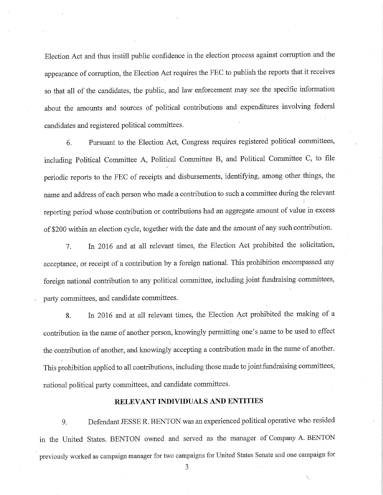Election Act and thus instill public confidence in the election process against corruption and the appearance of corruption, the Election Act requires the FEC to publish the reports that it receives so that all of the candidates, the public, and law enforcement may see the specific information about the amounts and sources of political contributions and expenditures involving federal candidates and registered political committees.

6. Pursuant to the Election Act, Congress requires registered political committees, including Political Committee A, Political Committee B, and Political Committee C, to file periodic reports to the FEC of receipts and disbursements, identifying, among other things, the name and address of each person who made a contribution to such a committee during the relevant reporting period whose contribution or contributions had an aggregate amount of value in excess of \$200 within an election cycle, together with the date and the amount of any such contribution.

7. In 2016 and at all relevant times, the Election Act prohibited the solicitation, acceptance, or receipt of a contribution by a foreign national. This prohibition encompassed any foreign national contribution to any political committee, including joint fundraising committees, party committees, and candidate committees.

8. In 2016 and at all relevant times, the Election Act prohibited the making of a contribution in the name of another person, knowingly permitting one's name to be used to effect the contribution of another, and knowingly accepting a contribution made in the name of another. This prohibition applied to all contributions, including those made to joint fundraising committees, national political party committees, and candidate committees.

## RELEVANT INDIVIDUALS AND ENTITIES

9. Defendant JESSE R. BENTON was an experienced political operative who resided in the United States. BENTON owned and served as the manager of Company A. BENTON previously worked as campaign manager for two campaigns for United States Senate and one campaign for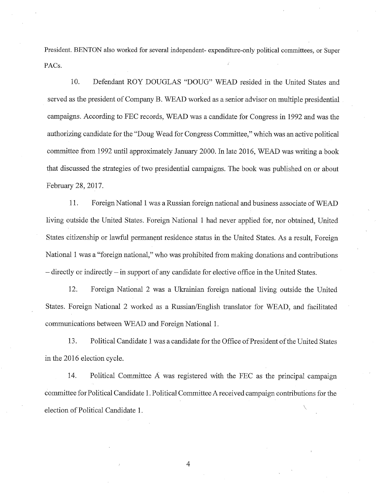President. BENTON also worked for several independent- expenditure-only political committees, or Super PACs.

10. Defendant ROY DOUGLAS "DOUG" WEAD resided in the United States and served as the president of Company B. WEAD worked as a senior advisor on multiple presidential campaigns. According to FEC records, WEAD was a candidate for Congress in 1992 and was the authorizing candidate for the "Doug Wead for Congress Committee," which was an active political committee from 1992 until approximately January 2000. In late 2016, WEAD was writing a book that discussed the strategies of two presidential campaigns. The book was published on or about February 28, 2017.

11. Foreign National 1 was a Russian foreign national and business associate of WEAD living outside the United States. Foreign National 1 had never applied for, nor obtained, United States citizenship or lawful permanent residence status in the United States. As a result, Foreign National 1 was a "foreign national," who was prohibited from making donations and contributions — directly or indirectly — in support of any candidate for elective office in the United States.

12. Foreign National 2 was a Ukrainian foreign national living outside the United States. Foreign National 2 worked as a Russian/English translator for WEAD, and facilitated communications between WEAD and Foreign National 1.

13. Political Candidate 1 was a candidate for the Office of President of the United States in the 2016 election cycle.

14. Political Committee  $\overrightarrow{A}$  was registered with the FEC as the principal campaign committee for Political Candidate 1. Political Committee A received campaign contributions for the election of Political Candidate 1.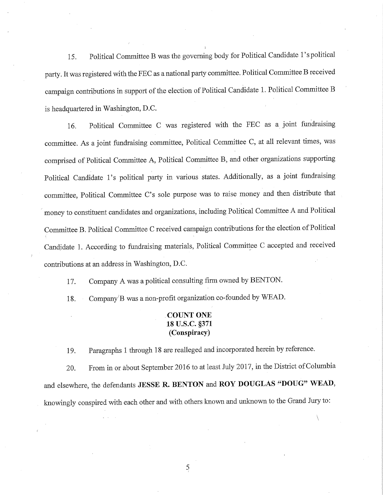15. Political Committee B was the governing body for Political Candidate l's political party. It was registered with the FEC as a national party committee. Political Committee B received campaign contributions in support of the election of Political Candidate 1. Political Committee B is headquartered in Washington, D.C.

16. Political Committee C was registered with the FEC as a joint fundraising committee. As a joint fundraising committee, Political Committee C, at all relevant times, was comprised of Political Committee A, Political Committee B, and other organizations supporting Political Candidate l's political party in various states. Additionally, as a joint fundraising committee, Political Committee C's sole purpose was to raise money and then distribute that money to constituent candidates and organizations, including Political Committee A and Political Committee B. Political Committee C received campaign contributions for the election of Political Candidate 1. According to fundraising materials, Political Committee C accepted and received contributions at an address in Washington, D.C.

17. Company A was a political consulting firm owned by BENTON.

18. Company'B was a non-profit organization co-founded by WEAD.

# COUNT ONE 18 U.S.C. §371 (Conspiracy)

19. Paragraphs 1 through 18 are realleged and incorporated herein by reference.

20. From in or about September 2016 to at least July 2017, in the District of Columbia and elsewhere, the defendants JESSE R. BENTON and ROY DOUGLAS "DOUG" WEAD, knowingly conspired with each other and with others known and unknown to the Grand Jury to:

 $\overline{5}$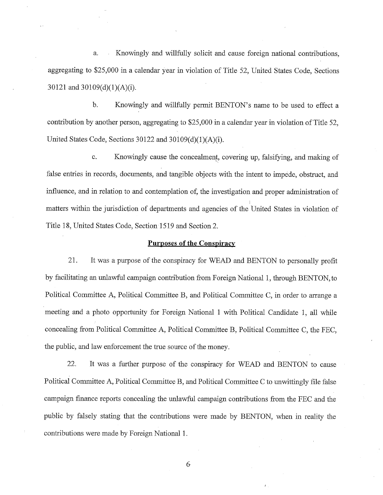a. Knowingly and willfully solicit and cause foreign national contributions, aggregating to \$25,000 in a calendar year in violation of Title 52, United States Code, Sections 30121 and 30109(d)(1)(A)(i).

b. Knowingly and willfully permit BENTON's name to be used to effect a contribution by another person, aggregating to \$25,000 in a calendar year in violation of Title 52, United States Code, Sections 30122 and 30109(d)(1)(A)(i).

c. Knowingly cause the concealment, covering up, falsifying, and making of false entries in records, documents, and tangible objects with the intent to impede, obstruct, and influence, and in relation to and contemplation of, the investigation and proper administration of matters within the jurisdiction of departments and agencies of the United States in violation of Title 18, United States Code, Section 1519 and Section 2.

#### Purposes of the Conspiracy

21. It was a purpose of the conspiracy for WEAD and BENTON to personally profit by facilitating an unlawful campaign contribution from Foreign National 1, through BENTON, to Political Committee A, Political Committee B, and Political Committee C, in order to arrange a meeting and a photo opportunity for Foreign National 1 with Political Candidate 1, all while concealing from Political Committee A, Political Committee B, Political Committee C, the FEC, the public, and law enforcement the true source of the money.

22. It was a further purpose of the conspiracy for WEAD and BENTON to cause Political Committee A, Political Committee B, and Political Committee C to unwittingly file false campaign finance reports concealing the unlawful campaign contributions from the FEC and the public by falsely stating that the contributions were made by BENTON, when in reality the contributions were made by Foreign National 1.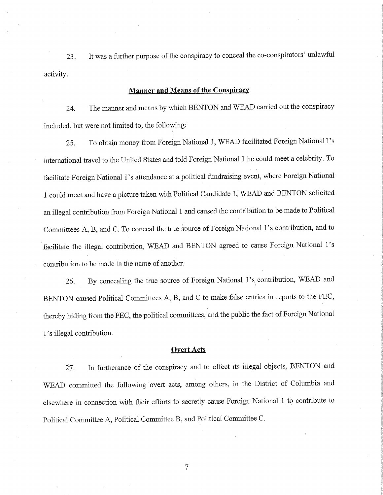23. It was a further purpose of the conspiracy to conceal the co-conspirators' unlawful activity.

## **Manner and Means of the Conspiracy**

24. The manner and means by which BENTON and WEAD carried out the conspiracy included, but were not limited to, the following:

25. To obtain money from Foreign National 1, WEAD facilitated Foreign National l's international travel to the United States and told Foreign National 1 he could meet a celebrity. To facilitate Foreign National l's attendance at a political fundraising event, where Foreign National 1 could meet and have a picture taken with Political Candidate 1, WEAD and BENTON solicited an illegal contribution from Foreign National 1 and caused the contribution to be made to Political Committees A, B, and C. To conceal the true source of Foreign National 1's contribution, and to facilitate the illegal contribution, WEAD and BENTON agreed to cause Foreign National l's contribution to be made in the name of another.

26. By concealing the true source of Foreign National l's contribution, WEAD and BENTON caused Political Committees A, B, and C to make false entries in reports to the FEC, thereby hiding from the FEC, the political committees, and the public the fact of Foreign National l's illegal contribution.

#### **Overt Acts**

27. In furtherance of the conspiracy and to effect its illegal objects, BENTON and WEAD committed the following overt acts, among others, in the District of Columbia and elsewhere in connection with their efforts to secretly cause Foreign National 1 to contribute to Political Committee A, Political Committee B, and Political Committee C.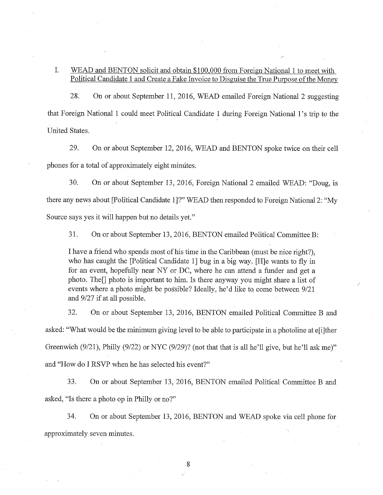## I. WEAD and BENTON solicit and obtain \$100,000 from Foreign National 1 to meet with Political Candidate 1 and Create a Fake Invoice to Disguise the True Purpose of the Money

28. On or about September 11, 2016, WEAD emailed Foreign National 2 suggesting that Foreign National 1 could meet Political Candidate 1 during Foreign National l's trip to the United States.

29. On or about September 12, 2016, WEAD and BENTON spoke twice on their cell phones for a total of approximately eight mimites.

30. On or about September 13, 2016, Foreign National 2 emailed WEAD: "Doug, is there any news about [Political Candidate 1]?" WEAD then responded to Foreign National 2: "My Source says yes it will happen but no details yet."

31. On or about September 13, 2016, BENTON em ailed Political Committee B:

I have a friend who spends most of his time in the Caribbean (must be nice right?), who has caught the [Political Candidate 1] bug in a big way. [H]e wants to fly in for an event, hopefully near NY or DC, where he can attend a funder and get a photo. The $\Pi$  photo is important to him. Is there anyway you might share a list of events where a photo might be possible? Ideally, he'd like to come between 9/21 and 9/27 if at all possible.

32. On or about September 13, 2016, BENTON emailed Political Committee B and asked: "What would be the minimum giving level to be able to participate in a photoline at e[i]ther Greenwich  $(9/21)$ , Philly  $(9/22)$  or NYC  $(9/29)$ ? (not that that is all he'll give, but he'll ask me)" and "How do I RSVP when he has selected his event?"

33. On or about September 13, 2016, BENTON emailed Political Committee B and asked, "Is there a photo op in Philly or no?"

34. On or about September 13, 2016, BENTON and WEAD spoke via cell phone for approximately seven minutes.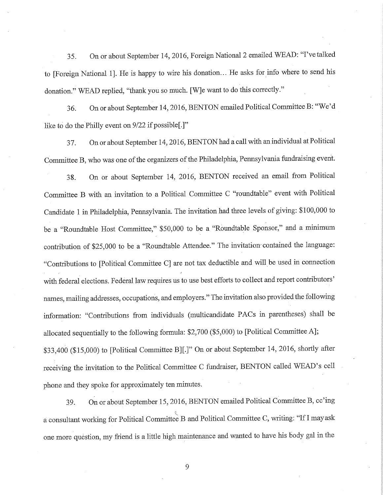35. On or about September 14, 2016, Foreign National 2 emailed WEAD: "I've talked to [Foreign National 1]. He is happy to wire his donation... He asks for info where to send his donation." WEAD replied, "thank you so much. [W]e want to do this correctly."

36. On or about September 14, 2016, BENTON emailed Political Committee B: "We'd like to do the Philly event on 9/22 if possible[.]"

37. On or about September 14, 2016, BENTON had a call with an individual at Political Committee B, who was one of the organizers of the Philadelphia, Pennsylvania fundraising event.

38. On or about September 14, 2016, BENTON received an email from Political Committee B with an invitation to a Political Committee C "roundtable" event with Political Candidate 1 in Philadelphia, Pennsylvania. The invitation had three levels of giving: \$100,000 to be a "Roundtable Host Committee," \$50,000 to be a "Roundtable Sponsor," and a minimum contribution of \$25,000 to be a "Roundtable Attendee." The invitation-contained the language: "Contributions to [Political Committee C] are not tax deductible and will be used in connection with federal elections. Federal law requires us to use best efforts to collect and report contributors' names, mailing addresses, occupations, and employers." The invitation also provided the following information: "Contributions from individuals (multicandidate PACs in parentheses) shall be allocated sequentially to the following formula:  $$2,700$  (\$5,000) to [Political Committee A]; \$33,400 (\$15,000) to [Political Committee B][.]" On or about September 14, 2016, shortly after receiving the invitation to the Political Committee C fundraiser, BENTON called WEAD's cell phone and they spoke for approximately ten minutes.

39. On or about September 15, 2016, BENTON emailed Political Committee B, cc'ing a consultant working for Political Committee B and Political Committee C, writing: "If I may ask one more question, my friend is a little high maintenance and wanted to have his body gal in the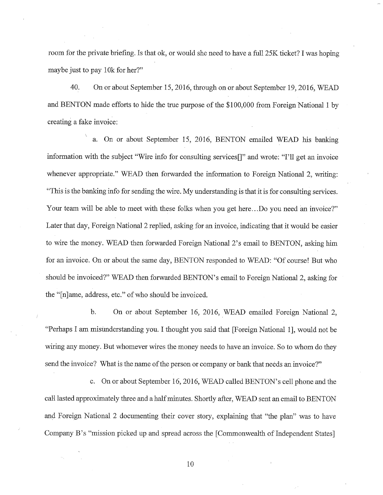room for the private briefing. Is that ok, or would she need to have a full 25K ticket? I was hoping maybe just to pay 10k for her?"

40. On or about September 15, 2016, through on or about September 19, 2016, WEAD and BENTON made efforts to hide the true purpose of the \$100,000 from Foreign National 1 by creating a fake invoice:

a. On or about September 15, 2016, BENTON emailed WEAD his banking information with the subject "Wire info for consulting services<sup>[]"</sup> and wrote: "I'll get an invoice whenever appropriate." WEAD then forwarded the information to Foreign National 2, writing: "This is the banking info for sending the wire. My understanding is that it is for consulting services. Your team will be able to meet with these folks when you get here...Do you need an invoice?" Later that day, Foreign National 2 replied, asking for an invoice, indicating that it would be easier to wire the money. WEAD then forwarded Foreign National 2's email to BENTON, asking him for an invoice. On or about the same day, BENTON responded to WEAD: "Of course! But who should be invoiced?" WEAD then forwarded BENTON's email to Foreign National 2, asking for the "[n]ame, address, etc." of who should be invoiced.

b. On or about September 16, 2016, WEAD emailed Foreign National 2, "Perhaps I am misunderstanding you. I thought you said that [Foreign National 1], would not be wiring any money. But whomever wires the money needs to have an invoice. So to whom do they send the invoice? What is the name of the person or company or bank that needs an invoice?"

c. On or about September 16, 2016, WEAD called BENTON' s cell phone and the call lasted approximately three and a half minutes. Shortly after, WEAD sent an email to BENTON and Foreign National 2 documenting their cover story, explaining that "the plan" was to have Company B's "mission picked up and spread across the [Commonwealth of Independent States]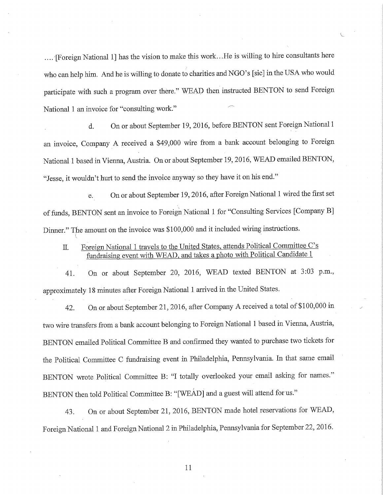.... [Foreign National 1] has the vision to make this work.. .He is willing to hire consultants here who can help him. And he is willing to donate to charities and NGO '5 [sic] in the USA who would participate with such a program over there." WEAD then instructed BENTON to send Foreign National 1 an invoice for "consulting work."

d. On or about September 19, 2016, before BENTON sent Foreign National 1 an invoice, Company A received a \$49,000 wire from a bank account belonging to Foreign National 1 based in Vienna, Austria. On or about September 19, 2016, WEAD emailed BENTON, "Jesse, it wouldn't hurt to send the invoice anyway so they have it on his end."

e. On or about September 19, 2016, after Foreign National 1 wired the first set of funds, BENTON sent an invoice to Foreign National 1 for "Consulting Services [Company B] Dinner." The amount on the invoice was \$100,000 and it included wiring instructions.

IL Foreign National 1 travels to the United States, attends Political Committee C's fundraising event with WEAD, and takes a photo with Political Candidate 1

41. On or about September 20, 2016, WEAD texted BENTON at 3:03 p.m., approximately 18 minutes after Foreign National 1 arrived in the United States.

42. On or about September 21, 2016, after Company A received a total of \$100,000 in two wire transfers from a bank account belonging to Foreign National 1 based in Vienna, Austria, BENTON emailed Political Committee B and confirmed they wanted to purchase two tickets for the Political Committee C fundraising event in Philadelphia, Pennsylvania. In that same email BENTON wrote Political Committee B: "I totally overlooked your email asking for names." BENTON then told Political Committee B: "[WEAD] and a guest will attend for us."

43. On or about September 21, 2016, BENTON made hotel reservations for WEAD, Foreign National 1 and Foreign National 2 in Philadelphia, Pennsylvania for September 22, 2016.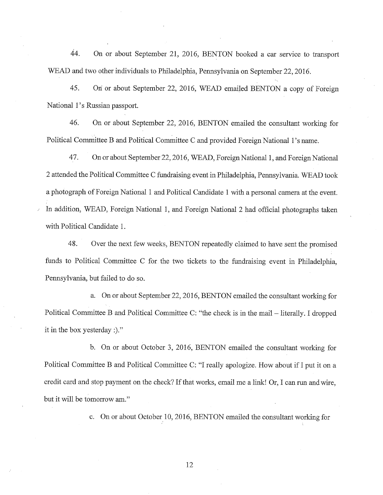44. On or about September 21, 2016, BENTON booked a car service to transport WEAD and two other individuals to Philadelphia, Pennsylvania on September 22, 2016.

45. On or about September 22, 2016, WEAD emailed BENTON a copy of Foreign National l's Russian passport.

46. On or about September 22, 2016, BENTON emailed the consultant working for Political Committee B and Political Committee C and provided Foreign National l's name.

47. On or about September 22, 2016, WEAD, Foreign National 1, and Foreign National 2 attended the Political Committee C fundraising event in Philadelphia, Pennsylvania. WEAD took a photograph of Foreign National 1 and Political Candidate 1 with a personal camera at the event. In addition, WEAD, Foreign National 1, and Foreign National 2 had official photographs taken with Political Candidate 1.

48. Over the next few weeks, BENTON repeatedly claimed to have sent the promised funds to Political Committee C for the two tickets to the fundraising event in Philadelphia, Pennsylvania, but failed to do so.

a. On or about September 22, 2016, BENTON emailed the consultant working for Political Committee B and Political Committee C: "the check is in the mail – literally. I dropped it in the box yesterday :)."

b. On or about October 3, 2016, BENTON emailed the consultant working for Political Committee B and Political Committee C: "I really apologize. How about if I put it on a credit card and stop payment on the check? If that works, email me a link! Or, I can run and wire, but it will be tomorrow am."

c. On or about October 10, 2016, BENTON emailed the consultant working for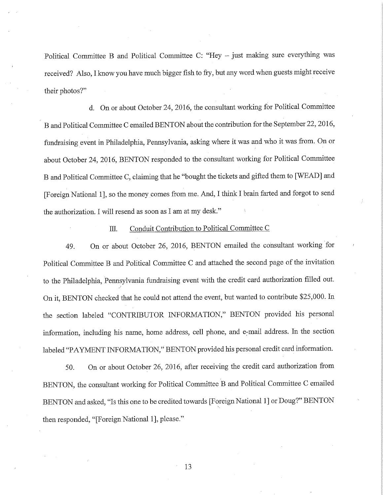Political Committee B and Political Committee C: "Hey — just making sure everything was received? Also, I know you have much bigger fish to fry, but any word when guests might receive their photos?"

d. On or about October 24, 2016, the consultant working for Political Committee B and Political Committee C emailed BENTON about the contribution for the September 22, 2016, fundraising event in Philadelphia, Pennsylvania, asking where it was and who it was from. On or about October 24, 2016, BENTON responded to the consultant working for Political Committee B and Political Committee C, claiming that he "bought the tickets and gifted them to [WEAD] and [Foreign National 1], so the money comes from me. And, I think I brain farted and forgot to send the authorization. I will resend as soon as I am at my desk."

#### Ill. Conduit Contribution to Political Committee C

49. On or about October 26, 2016, BENTON emailed the consultant working for Political Committee B and Political Committee C and attached the second page of the invitation to the Philadelphia, Pennsylvania fundraising event with the credit card authorization filled out. On it, BENTON checked that he could not attend the event, but wanted to contribute \$25,000. In the section labeled "CONTRIBUTOR INFORMATION," BENTON provided his personal infotmation, including his name, home address, cell phone, and e-mail address. In the section labeled "PAYMENT INFORMATION," BENTON provided his personal credit card information.

50. On or about October 26, 2016, after receiving the credit card authorization from BENTON, the consultant working for Political Committee B and Political Committee C emailed BENTON and asked, "Is this one to be credited towards [Foreign National 1] or Doug?" BENTON then responded, "[Foreign National 1], please."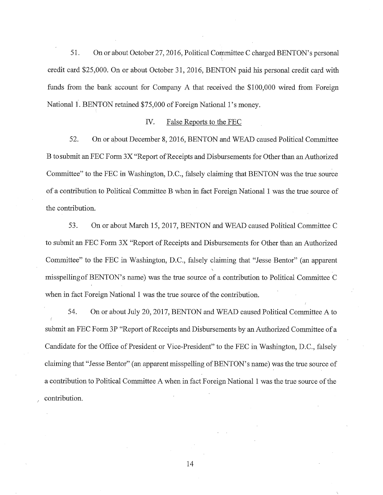51. On or about October 27, 2016, Political Committee C charged BENTON's personal credit card \$25,000. On or about October 31, 2016, BENTON paid his personal credit card with funds from the bank account for Company A that received the \$100,000 wired from Foreign National 1. BENTON retained \$75,000 of Foreign National l's money.

## IV. False Reports to the FEC

52. On or about December 8, 2016, BENTON and WEAD caused Political Committee B to submit an FEC Form 3X "Report of Receipts and Disbursements for Other than an Authorized Committee" to the FEC in Washington, D.C., falsely claiming that BENTON was the true source of a contribution to Political Committee B when in fact Foreign National 1 was the true source of the contribution.

53. On or about March 15, 2017, BENTON and WEAD caused Political Committee C to submit an FEC Form 3X "Report of Receipts and Disbursements for Other than an Authorized Committee" to the FEC in Washington, D.C., falsely claiming that "Jesse Bentor" (an apparent misspelling of BENTON's name) was the true source of a contribution to Political Committee C when in fact Foreign National 1 was the true source of the contribution.

54. On or about July 20, 2017, BENTON and WEAD caused Political Committee A to submit an FEC Form 3P "Report of Receipts and Disbursements by an Authorized Committee of a Candidate for the Office of President or Vice-President" to the FEC in Washington, D.C., falsely claiming that "Jesse Bentor" (an apparent misspelling of BENTON's name) was the true source of a contribution to Political Committee A when in fact Foreign National 1 was the true source of the contribution.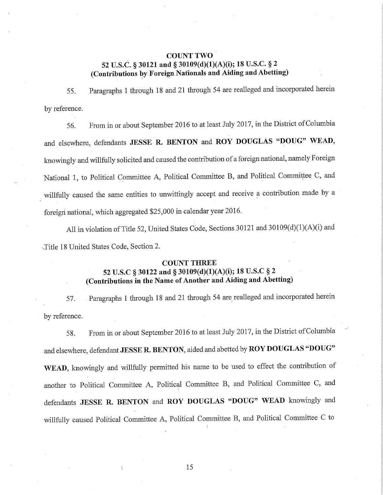## COUNT TWO 52 U.S.C. § 30121 and § 30109(d)(1)(A)(i); 18 U.S.C. § 2 (Contributions by Foreign Nationals and Aiding and Abetting)

55. Paragraphs 1 through 18 and 21 through 54 are realleged and incorporated herein by reference.

56. From in or about September 2016 to at least July 2017, in the District of Columbia and elsewhere, defendants JESSE R. BENTON and ROY DOUGLAS "DOUG" WEAD, knowingly and willfully solicited and caused the contribution of a foreign national, namely Foreign National 1, to Political Committee A, Political Committee B, and Political Committee C, and willfully caused the same entities to unwittingly accept and receive a contribution made by a foreign national, which aggregated \$25,000 in calendar year 2016.

All in violation of Title 52, United States Code, Sections 30121 and 30109(d)(1)(A)(i) and -Title 18 United States Code, Section 2.

## COUNT THREE

# 52 U.S.C § 30122 and § 30109(d)(1)(A)(i); 18 U.S.C § 2 (Contributions in the Name of Another and Aiding and Abetting)

57. Paragraphs 1 through 18 and 21 through 54 are realleged and incorporated herein by reference.

58. From in or about September 2016 to at least July 2017, in the District of Columbia and elsewhere, defendant JESSE R. BENTON, aided and abetted by ROY DOUGLAS "DOUG" WEAD, knowingly and willfully permitted his name to be used to effect the contribution of another to Political Committee A, Political Committee B, and Political Committee C, and defendants JESSE R. BENTON and ROY DOUGLAS "DOUG" WEAD knowingly and willfully caused Political Committee A, Political Committee B, and Political Committee C to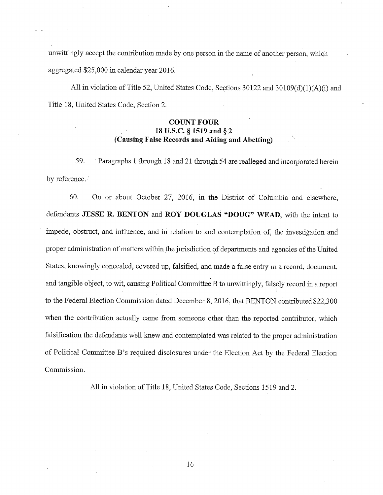unwittingly accept the contribution made by one person in the name of another person, which aggregated \$25,000 in calendar year 2016.

All in violation of Title 52, United States Code, Sections 30122 and 30109(d)(1)(A)(i) and Title 18, United States Code, Section 2.

## **COUNT FOUR 18 U.S.C. § 1519 and § 2 (Causing False Records and Aiding and Abetting)**

59. Paragraphs 1 through 18 and 21 through 54 are realleged and incorporated herein by reference.

60. On or about October 27, 2016, in the District of Columbia and elsewhere, defendants **JESSE R. BENTON** and **ROY DOUGLAS "DOUG" VVEAD,** with the intent to impede, obstruct, and influence, and in relation to and contemplation of, the investigation and proper administration of matters within the jurisdiction of departments and agencies of the United States, knowingly concealed, covered up, falsified, and made a false entry in a record, document, and tangible object, to wit, causing Political Committee B to unwittingly, falsely record in a report to the Federal Election Commission dated December 8, 2016, that BENTON contributed \$22,300 when the contribution actually came from someone other than the reported contributor, which falsification the defendants well knew and contemplated was related to the proper administration of Political Committee B's required disclosures under the Election Act by the Federal Election Commission.

All in violation of Title 18, United States Code, Sections 1519 and 2.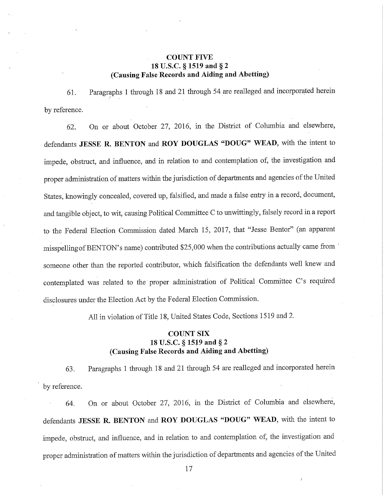## **COUNT FIVE 18 U.S.C. § 1519 and §2 (Causing False Records and Aiding and Abetting)**

61. Paragraphs 1 through 18 and 21 through 54 are realleged and incorporated herein by reference.

62. On or about October 27, 2016, in the District of Columbia and elsewhere, defendants **JESSE R. BENTON** and **ROY DOUGLAS "DOUG" VVEAD,** with the intent to impede, obstruct, and influence, and in relation to and contemplation of, the investigation and proper administration of matters within the jurisdiction of departments and agencies of the United States, knowingly concealed, covered up, falsified, and made a false entry in a record, document, and tangible object, to wit, causing Political Committee C to unwittingly, falsely record in a report to the Federal Election Commission dated March 15, 2017, that "Jesse Bentor" (an apparent misspelling of BENTON's name) contributed \$25,000 when the contributions actually came from someone other than the reported contributor, which falsification the defendants well knew and contemplated was related to the proper administration of Political Committee C's required disclosures under the Election Act by the Federal Election Commission.

All in violation of Title 18, United States Code, Sections 1519 and 2.

# **COUNT SIX 18 U.S.C. § 1519 and § 2 (Causing False Records and Aiding and Abetting)**

63. Paragraphs 1 through 18 and 21 through 54 are realleged and incorporated herein by reference.

64. On or about October 27, 2016, in the District of Columbia and elsewhere, defendants **JESSE R. BENTON** and **ROY DOUGLAS "DOUG" WEAD,** with the intent to impede, obstruct, and influence, and in relation to and contemplation of, the investigation and proper administration of matters within the jurisdiction of departments and agencies of the United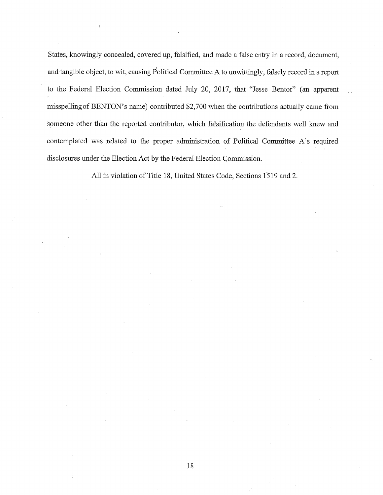States, knowingly concealed, covered up, falsified, and made a false entry in a record, document, and tangible object, to wit, causing Political Committee A to unwittingly, falsely record in a report to the Federal Election Commission dated July 20, 2017, that "Jesse Bentor" (an apparent misspelling of BENTON's name) contributed \$2,700 when the contributions actually came from someone other than the reported contributor, which falsification the defendants well knew and contemplated was related to the proper administration of Political Committee A's required disclosures under the Election Act by the Federal Election Commission.

All in violation of Title 18, United States Code, Sections 1519 and 2.